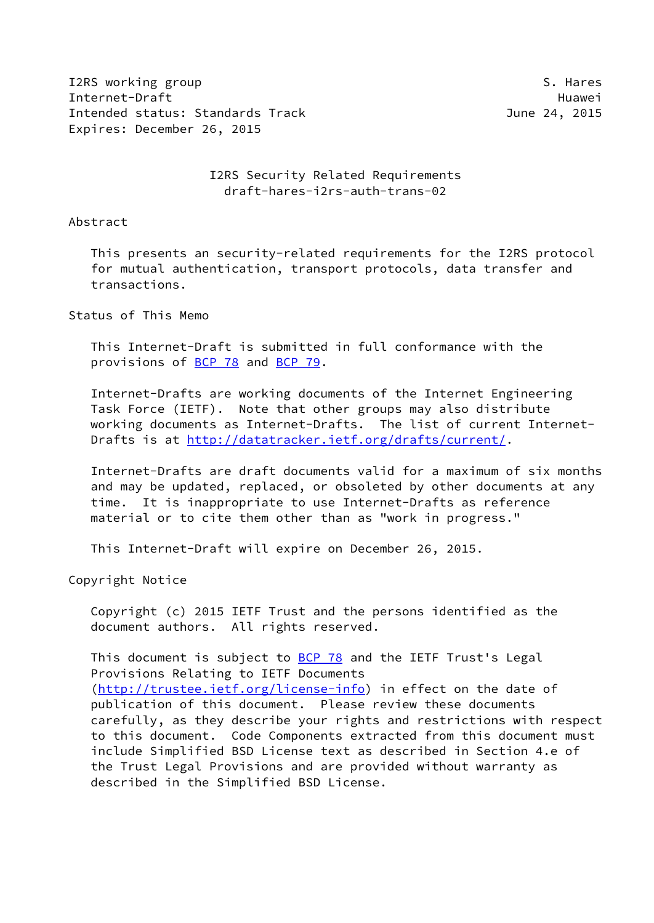I2RS working group states and the set of the set of the set of the set of the set of the set of the set of the set of the set of the set of the set of the set of the set of the set of the set of the set of the set of the s Internet-Draft Huawei Intended status: Standards Track June 24, 2015 Expires: December 26, 2015

 I2RS Security Related Requirements draft-hares-i2rs-auth-trans-02

Abstract

 This presents an security-related requirements for the I2RS protocol for mutual authentication, transport protocols, data transfer and transactions.

Status of This Memo

 This Internet-Draft is submitted in full conformance with the provisions of [BCP 78](https://datatracker.ietf.org/doc/pdf/bcp78) and [BCP 79](https://datatracker.ietf.org/doc/pdf/bcp79).

 Internet-Drafts are working documents of the Internet Engineering Task Force (IETF). Note that other groups may also distribute working documents as Internet-Drafts. The list of current Internet- Drafts is at<http://datatracker.ietf.org/drafts/current/>.

 Internet-Drafts are draft documents valid for a maximum of six months and may be updated, replaced, or obsoleted by other documents at any time. It is inappropriate to use Internet-Drafts as reference material or to cite them other than as "work in progress."

This Internet-Draft will expire on December 26, 2015.

Copyright Notice

 Copyright (c) 2015 IETF Trust and the persons identified as the document authors. All rights reserved.

This document is subject to **[BCP 78](https://datatracker.ietf.org/doc/pdf/bcp78)** and the IETF Trust's Legal Provisions Relating to IETF Documents [\(http://trustee.ietf.org/license-info](http://trustee.ietf.org/license-info)) in effect on the date of publication of this document. Please review these documents carefully, as they describe your rights and restrictions with respect to this document. Code Components extracted from this document must include Simplified BSD License text as described in Section 4.e of the Trust Legal Provisions and are provided without warranty as described in the Simplified BSD License.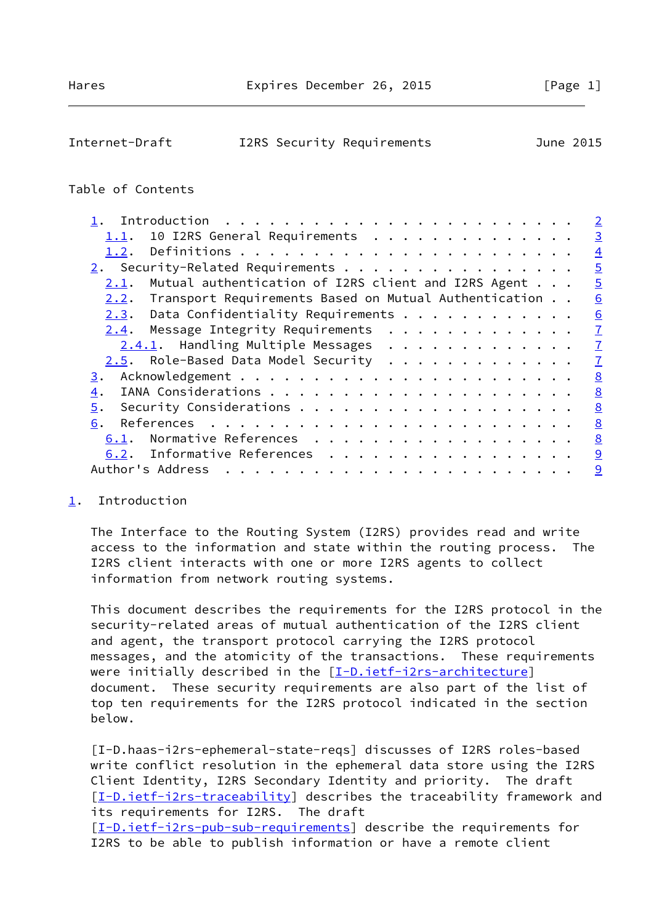<span id="page-1-1"></span>

| I2RS Security Requirements | Internet-Draft |  |  |  | June 2015 |  |
|----------------------------|----------------|--|--|--|-----------|--|
|----------------------------|----------------|--|--|--|-----------|--|

## Table of Contents

|                                                             | $\overline{2}$ |
|-------------------------------------------------------------|----------------|
| 10 I2RS General Requirements<br>1.1.                        | $\overline{3}$ |
| 1.2.                                                        | $\overline{4}$ |
| 2. Security-Related Requirements                            | $\overline{5}$ |
| Mutual authentication of I2RS client and I2RS Agent<br>2.1. | $\overline{5}$ |
| 2.2. Transport Requirements Based on Mutual Authentication  | 6              |
| $2.3.$ Data Confidentiality Requirements                    | 6              |
| Message Integrity Requirements<br>2.4.                      | $\overline{1}$ |
| 2.4.1. Handling Multiple Messages                           | $\overline{1}$ |
|                                                             | $\overline{1}$ |
| 3.                                                          | 8              |
| 4.                                                          | 8              |
| 5.                                                          | 8              |
| 6.                                                          | 8              |
| Normative References<br>6.1.                                | 8              |
| Informative References<br>6.2.                              | 9              |
| Author's Address<br>.                                       | 9              |
|                                                             |                |

## <span id="page-1-0"></span>[1](#page-1-0). Introduction

 The Interface to the Routing System (I2RS) provides read and write access to the information and state within the routing process. The I2RS client interacts with one or more I2RS agents to collect information from network routing systems.

 This document describes the requirements for the I2RS protocol in the security-related areas of mutual authentication of the I2RS client and agent, the transport protocol carrying the I2RS protocol messages, and the atomicity of the transactions. These requirements were initially described in the [\[I-D.ietf-i2rs-architecture\]](#page-9-2) document. These security requirements are also part of the list of top ten requirements for the I2RS protocol indicated in the section below.

 [I-D.haas-i2rs-ephemeral-state-reqs] discusses of I2RS roles-based write conflict resolution in the ephemeral data store using the I2RS Client Identity, I2RS Secondary Identity and priority. The draft [\[I-D.ietf-i2rs-traceability\]](#page-9-3) describes the traceability framework and its requirements for I2RS. The draft [\[I-D.ietf-i2rs-pub-sub-requirements\]](#page-9-4) describe the requirements for I2RS to be able to publish information or have a remote client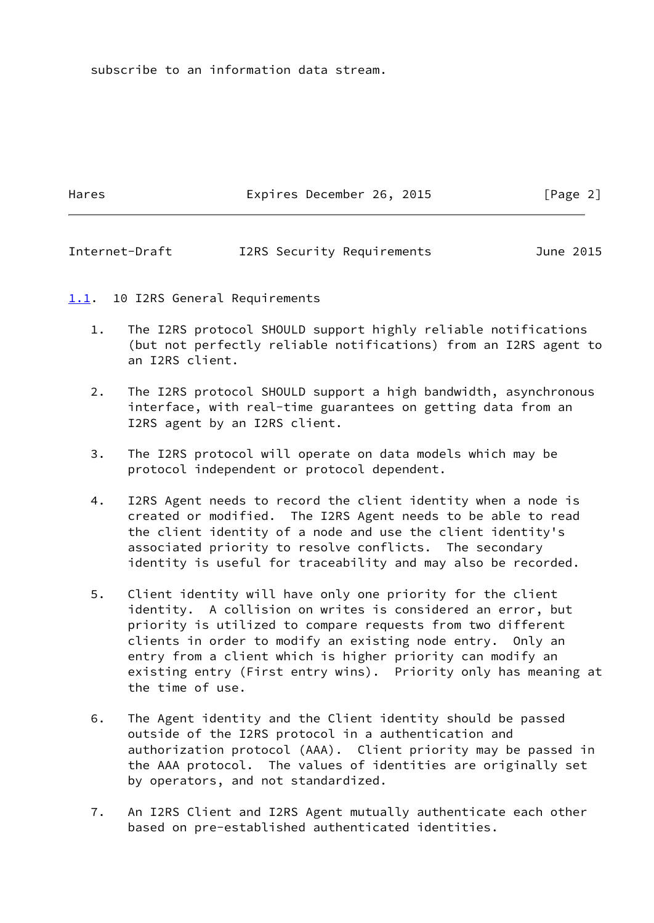subscribe to an information data stream.

Hares **Expires December 26, 2015** [Page 2]

<span id="page-2-1"></span>Internet-Draft I2RS Security Requirements June 2015

<span id="page-2-0"></span>[1.1](#page-2-0). 10 I2RS General Requirements

- 1. The I2RS protocol SHOULD support highly reliable notifications (but not perfectly reliable notifications) from an I2RS agent to an I2RS client.
- 2. The I2RS protocol SHOULD support a high bandwidth, asynchronous interface, with real-time guarantees on getting data from an I2RS agent by an I2RS client.
- 3. The I2RS protocol will operate on data models which may be protocol independent or protocol dependent.
- 4. I2RS Agent needs to record the client identity when a node is created or modified. The I2RS Agent needs to be able to read the client identity of a node and use the client identity's associated priority to resolve conflicts. The secondary identity is useful for traceability and may also be recorded.
- 5. Client identity will have only one priority for the client identity. A collision on writes is considered an error, but priority is utilized to compare requests from two different clients in order to modify an existing node entry. Only an entry from a client which is higher priority can modify an existing entry (First entry wins). Priority only has meaning at the time of use.
- 6. The Agent identity and the Client identity should be passed outside of the I2RS protocol in a authentication and authorization protocol (AAA). Client priority may be passed in the AAA protocol. The values of identities are originally set by operators, and not standardized.
- 7. An I2RS Client and I2RS Agent mutually authenticate each other based on pre-established authenticated identities.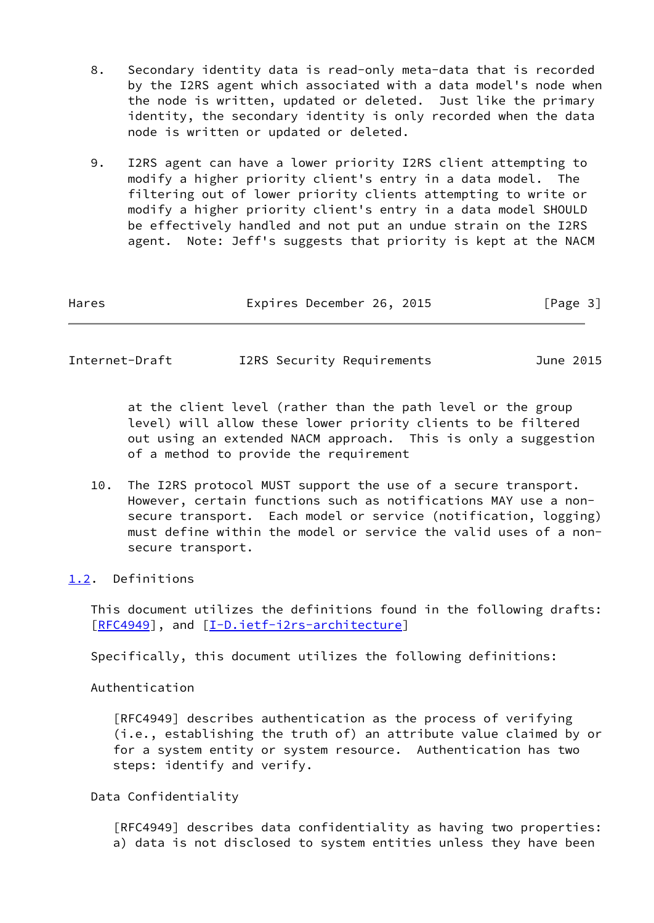- 8. Secondary identity data is read-only meta-data that is recorded by the I2RS agent which associated with a data model's node when the node is written, updated or deleted. Just like the primary identity, the secondary identity is only recorded when the data node is written or updated or deleted.
- 9. I2RS agent can have a lower priority I2RS client attempting to modify a higher priority client's entry in a data model. The filtering out of lower priority clients attempting to write or modify a higher priority client's entry in a data model SHOULD be effectively handled and not put an undue strain on the I2RS agent. Note: Jeff's suggests that priority is kept at the NACM

| Hares | Expires December 26, 2015 |  | [Page 3] |  |
|-------|---------------------------|--|----------|--|
|       |                           |  |          |  |

<span id="page-3-1"></span>Internet-Draft I2RS Security Requirements June 2015

 at the client level (rather than the path level or the group level) will allow these lower priority clients to be filtered out using an extended NACM approach. This is only a suggestion of a method to provide the requirement

 10. The I2RS protocol MUST support the use of a secure transport. However, certain functions such as notifications MAY use a non secure transport. Each model or service (notification, logging) must define within the model or service the valid uses of a non secure transport.

<span id="page-3-0"></span>[1.2](#page-3-0). Definitions

 This document utilizes the definitions found in the following drafts: [\[RFC4949](https://datatracker.ietf.org/doc/pdf/rfc4949)], and [\[I-D.ietf-i2rs-architecture](#page-9-2)]

Specifically, this document utilizes the following definitions:

Authentication

 [RFC4949] describes authentication as the process of verifying (i.e., establishing the truth of) an attribute value claimed by or for a system entity or system resource. Authentication has two steps: identify and verify.

Data Confidentiality

 [RFC4949] describes data confidentiality as having two properties: a) data is not disclosed to system entities unless they have been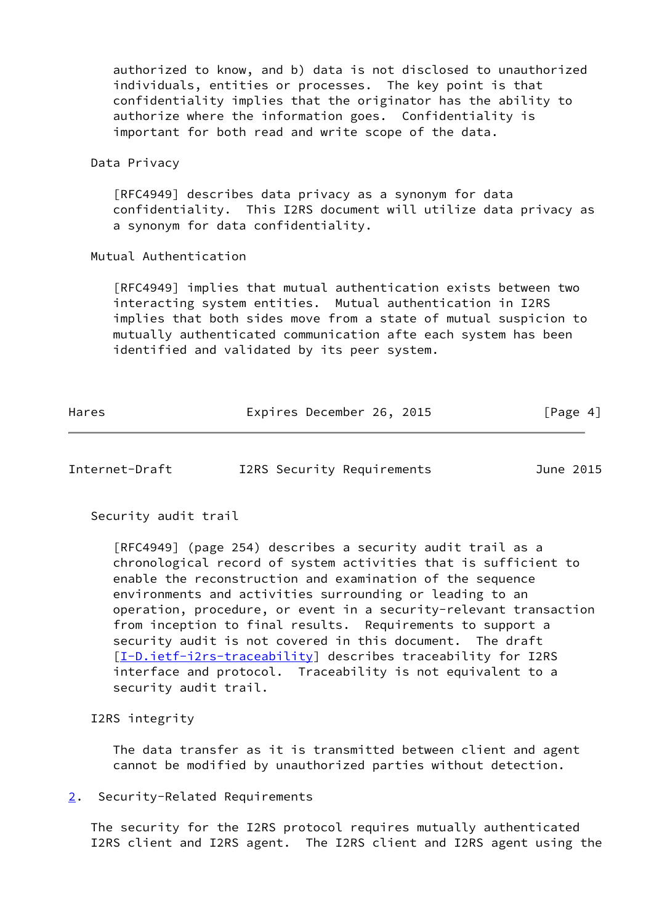authorized to know, and b) data is not disclosed to unauthorized individuals, entities or processes. The key point is that confidentiality implies that the originator has the ability to authorize where the information goes. Confidentiality is important for both read and write scope of the data.

#### Data Privacy

 [RFC4949] describes data privacy as a synonym for data confidentiality. This I2RS document will utilize data privacy as a synonym for data confidentiality.

#### Mutual Authentication

 [RFC4949] implies that mutual authentication exists between two interacting system entities. Mutual authentication in I2RS implies that both sides move from a state of mutual suspicion to mutually authenticated communication afte each system has been identified and validated by its peer system.

| Hares | Expires December 26, 2015 |  | [Page 4] |
|-------|---------------------------|--|----------|
|       |                           |  |          |

<span id="page-4-1"></span>Internet-Draft I2RS Security Requirements June 2015

Security audit trail

 [RFC4949] (page 254) describes a security audit trail as a chronological record of system activities that is sufficient to enable the reconstruction and examination of the sequence environments and activities surrounding or leading to an operation, procedure, or event in a security-relevant transaction from inception to final results. Requirements to support a security audit is not covered in this document. The draft [[I-D.ietf-i2rs-traceability\]](#page-9-3) describes traceability for I2RS interface and protocol. Traceability is not equivalent to a security audit trail.

I2RS integrity

 The data transfer as it is transmitted between client and agent cannot be modified by unauthorized parties without detection.

<span id="page-4-0"></span>[2](#page-4-0). Security-Related Requirements

 The security for the I2RS protocol requires mutually authenticated I2RS client and I2RS agent. The I2RS client and I2RS agent using the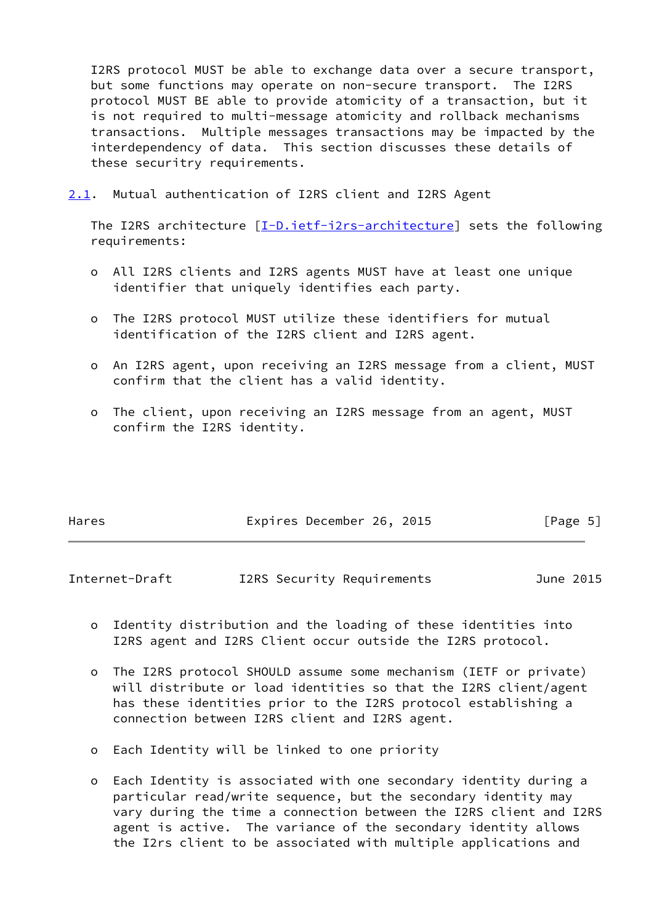I2RS protocol MUST be able to exchange data over a secure transport, but some functions may operate on non-secure transport. The I2RS protocol MUST BE able to provide atomicity of a transaction, but it is not required to multi-message atomicity and rollback mechanisms transactions. Multiple messages transactions may be impacted by the interdependency of data. This section discusses these details of these securitry requirements.

<span id="page-5-0"></span>[2.1](#page-5-0). Mutual authentication of I2RS client and I2RS Agent

The I2RS architecture [[I-D.ietf-i2rs-architecture\]](#page-9-2) sets the following requirements:

- o All I2RS clients and I2RS agents MUST have at least one unique identifier that uniquely identifies each party.
- o The I2RS protocol MUST utilize these identifiers for mutual identification of the I2RS client and I2RS agent.
- o An I2RS agent, upon receiving an I2RS message from a client, MUST confirm that the client has a valid identity.
- o The client, upon receiving an I2RS message from an agent, MUST confirm the I2RS identity.

| Expires December 26, 2015<br>Hares | [Page 5] |
|------------------------------------|----------|
|------------------------------------|----------|

<span id="page-5-1"></span>Internet-Draft I2RS Security Requirements June 2015

- o Identity distribution and the loading of these identities into I2RS agent and I2RS Client occur outside the I2RS protocol.
- o The I2RS protocol SHOULD assume some mechanism (IETF or private) will distribute or load identities so that the I2RS client/agent has these identities prior to the I2RS protocol establishing a connection between I2RS client and I2RS agent.
- o Each Identity will be linked to one priority
- o Each Identity is associated with one secondary identity during a particular read/write sequence, but the secondary identity may vary during the time a connection between the I2RS client and I2RS agent is active. The variance of the secondary identity allows the I2rs client to be associated with multiple applications and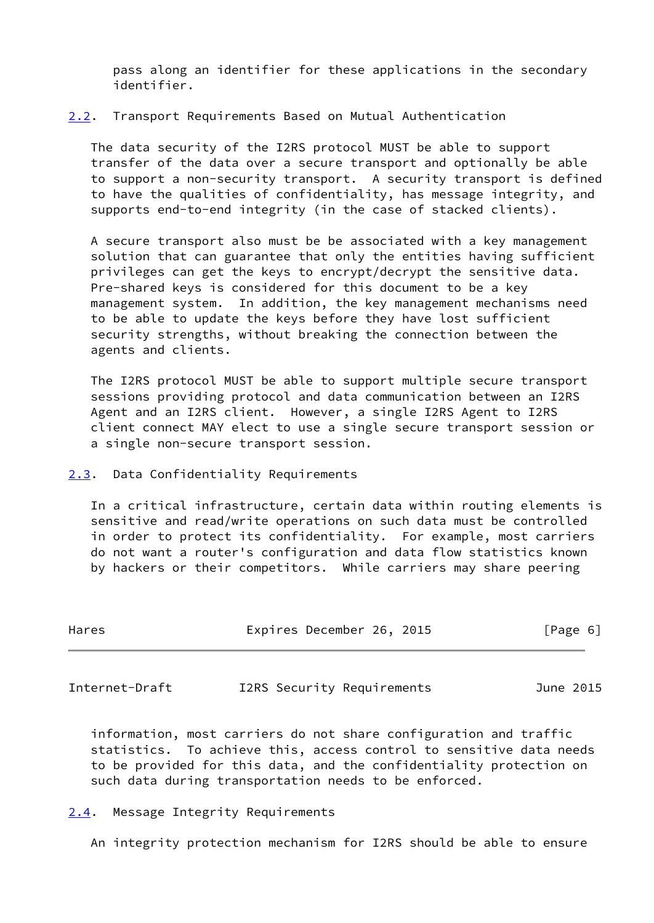pass along an identifier for these applications in the secondary identifier.

### <span id="page-6-0"></span>[2.2](#page-6-0). Transport Requirements Based on Mutual Authentication

 The data security of the I2RS protocol MUST be able to support transfer of the data over a secure transport and optionally be able to support a non-security transport. A security transport is defined to have the qualities of confidentiality, has message integrity, and supports end-to-end integrity (in the case of stacked clients).

 A secure transport also must be be associated with a key management solution that can guarantee that only the entities having sufficient privileges can get the keys to encrypt/decrypt the sensitive data. Pre-shared keys is considered for this document to be a key management system. In addition, the key management mechanisms need to be able to update the keys before they have lost sufficient security strengths, without breaking the connection between the agents and clients.

 The I2RS protocol MUST be able to support multiple secure transport sessions providing protocol and data communication between an I2RS Agent and an I2RS client. However, a single I2RS Agent to I2RS client connect MAY elect to use a single secure transport session or a single non-secure transport session.

<span id="page-6-1"></span>[2.3](#page-6-1). Data Confidentiality Requirements

 In a critical infrastructure, certain data within routing elements is sensitive and read/write operations on such data must be controlled in order to protect its confidentiality. For example, most carriers do not want a router's configuration and data flow statistics known by hackers or their competitors. While carriers may share peering

| Hares | Expires December 26, 2015 | [Page 6] |
|-------|---------------------------|----------|
|       |                           |          |

<span id="page-6-3"></span>Internet-Draft I2RS Security Requirements June 2015

 information, most carriers do not share configuration and traffic statistics. To achieve this, access control to sensitive data needs to be provided for this data, and the confidentiality protection on such data during transportation needs to be enforced.

# <span id="page-6-2"></span>[2.4](#page-6-2). Message Integrity Requirements

An integrity protection mechanism for I2RS should be able to ensure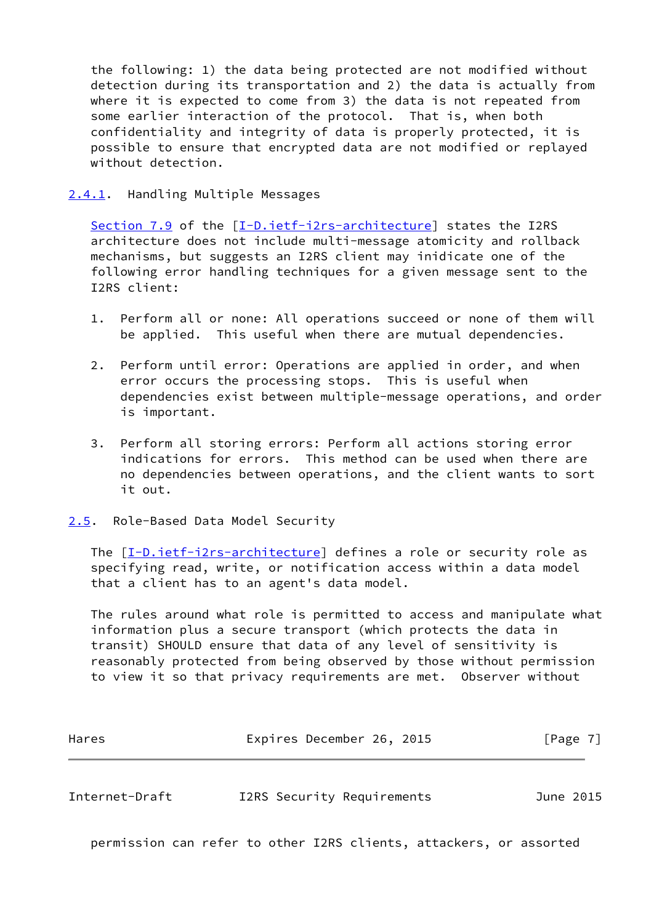the following: 1) the data being protected are not modified without detection during its transportation and 2) the data is actually from where it is expected to come from 3) the data is not repeated from some earlier interaction of the protocol. That is, when both confidentiality and integrity of data is properly protected, it is possible to ensure that encrypted data are not modified or replayed without detection.

<span id="page-7-0"></span>[2.4.1](#page-7-0). Handling Multiple Messages

 Section 7.9 of the [[I-D.ietf-i2rs-architecture\]](#page-9-2) states the I2RS architecture does not include multi-message atomicity and rollback mechanisms, but suggests an I2RS client may inidicate one of the following error handling techniques for a given message sent to the I2RS client:

- 1. Perform all or none: All operations succeed or none of them will be applied. This useful when there are mutual dependencies.
- 2. Perform until error: Operations are applied in order, and when error occurs the processing stops. This is useful when dependencies exist between multiple-message operations, and order is important.
- 3. Perform all storing errors: Perform all actions storing error indications for errors. This method can be used when there are no dependencies between operations, and the client wants to sort it out.
- <span id="page-7-1"></span>[2.5](#page-7-1). Role-Based Data Model Security

 The [\[I-D.ietf-i2rs-architecture\]](#page-9-2) defines a role or security role as specifying read, write, or notification access within a data model that a client has to an agent's data model.

 The rules around what role is permitted to access and manipulate what information plus a secure transport (which protects the data in transit) SHOULD ensure that data of any level of sensitivity is reasonably protected from being observed by those without permission to view it so that privacy requirements are met. Observer without

<span id="page-7-2"></span>

| Hares          | Expires December 26, 2015  | $\lceil \text{Page } 7 \rceil$ |
|----------------|----------------------------|--------------------------------|
|                |                            |                                |
| Internet-Draft | I2RS Security Requirements | June 2015                      |

permission can refer to other I2RS clients, attackers, or assorted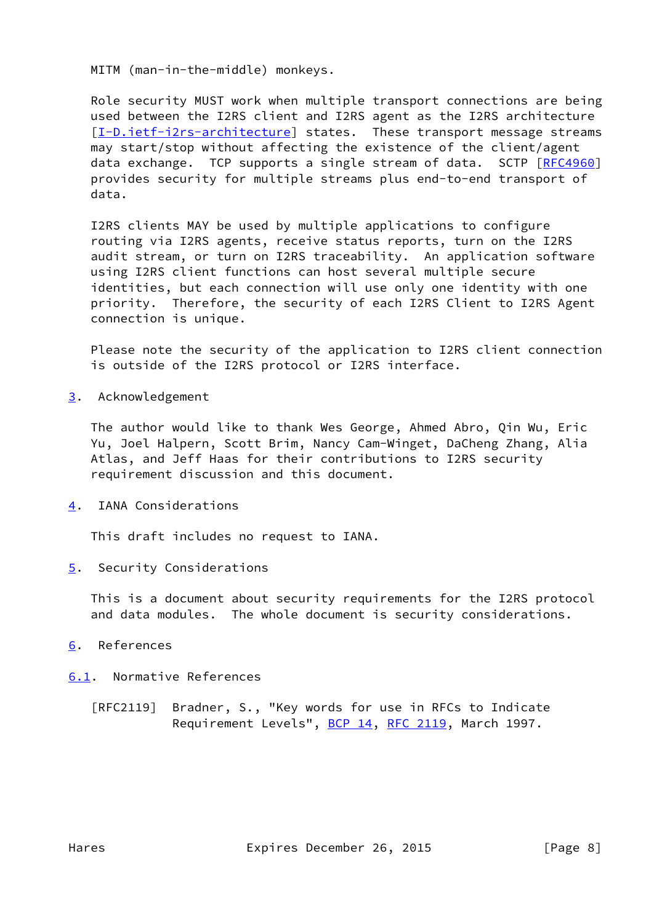MITM (man-in-the-middle) monkeys.

 Role security MUST work when multiple transport connections are being used between the I2RS client and I2RS agent as the I2RS architecture [\[I-D.ietf-i2rs-architecture\]](#page-9-2) states. These transport message streams may start/stop without affecting the existence of the client/agent data exchange. TCP supports a single stream of data. SCTP [\[RFC4960](https://datatracker.ietf.org/doc/pdf/rfc4960)] provides security for multiple streams plus end-to-end transport of data.

 I2RS clients MAY be used by multiple applications to configure routing via I2RS agents, receive status reports, turn on the I2RS audit stream, or turn on I2RS traceability. An application software using I2RS client functions can host several multiple secure identities, but each connection will use only one identity with one priority. Therefore, the security of each I2RS Client to I2RS Agent connection is unique.

 Please note the security of the application to I2RS client connection is outside of the I2RS protocol or I2RS interface.

<span id="page-8-0"></span>[3](#page-8-0). Acknowledgement

 The author would like to thank Wes George, Ahmed Abro, Qin Wu, Eric Yu, Joel Halpern, Scott Brim, Nancy Cam-Winget, DaCheng Zhang, Alia Atlas, and Jeff Haas for their contributions to I2RS security requirement discussion and this document.

<span id="page-8-1"></span>[4](#page-8-1). IANA Considerations

This draft includes no request to IANA.

<span id="page-8-2"></span>[5](#page-8-2). Security Considerations

 This is a document about security requirements for the I2RS protocol and data modules. The whole document is security considerations.

# <span id="page-8-3"></span>[6](#page-8-3). References

## <span id="page-8-4"></span>[6.1](#page-8-4). Normative References

 [RFC2119] Bradner, S., "Key words for use in RFCs to Indicate Requirement Levels", [BCP 14](https://datatracker.ietf.org/doc/pdf/bcp14), [RFC 2119](https://datatracker.ietf.org/doc/pdf/rfc2119), March 1997.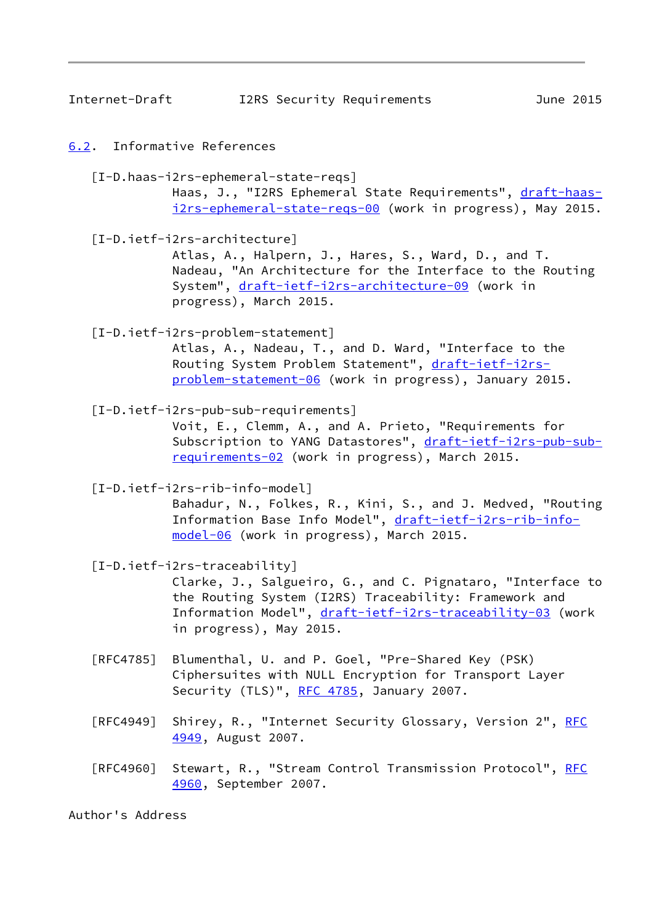<span id="page-9-1"></span>Internet-Draft I2RS Security Requirements June 2015

### <span id="page-9-0"></span>[6.2](#page-9-0). Informative References

 [I-D.haas-i2rs-ephemeral-state-reqs] Haas, J., "I2RS Ephemeral State Requirements", [draft-haas](https://datatracker.ietf.org/doc/pdf/draft-haas-i2rs-ephemeral-state-reqs-00) [i2rs-ephemeral-state-reqs-00](https://datatracker.ietf.org/doc/pdf/draft-haas-i2rs-ephemeral-state-reqs-00) (work in progress), May 2015.

<span id="page-9-2"></span> [I-D.ietf-i2rs-architecture] Atlas, A., Halpern, J., Hares, S., Ward, D., and T. Nadeau, "An Architecture for the Interface to the Routing System", [draft-ietf-i2rs-architecture-09](https://datatracker.ietf.org/doc/pdf/draft-ietf-i2rs-architecture-09) (work in progress), March 2015.

 [I-D.ietf-i2rs-problem-statement] Atlas, A., Nadeau, T., and D. Ward, "Interface to the Routing System Problem Statement", [draft-ietf-i2rs](https://datatracker.ietf.org/doc/pdf/draft-ietf-i2rs-problem-statement-06) [problem-statement-06](https://datatracker.ietf.org/doc/pdf/draft-ietf-i2rs-problem-statement-06) (work in progress), January 2015.

<span id="page-9-4"></span> [I-D.ietf-i2rs-pub-sub-requirements] Voit, E., Clemm, A., and A. Prieto, "Requirements for Subscription to YANG Datastores", [draft-ietf-i2rs-pub-sub](https://datatracker.ietf.org/doc/pdf/draft-ietf-i2rs-pub-sub-requirements-02) [requirements-02](https://datatracker.ietf.org/doc/pdf/draft-ietf-i2rs-pub-sub-requirements-02) (work in progress), March 2015.

[I-D.ietf-i2rs-rib-info-model]

 Bahadur, N., Folkes, R., Kini, S., and J. Medved, "Routing Information Base Info Model", [draft-ietf-i2rs-rib-info](https://datatracker.ietf.org/doc/pdf/draft-ietf-i2rs-rib-info-model-06) [model-06](https://datatracker.ietf.org/doc/pdf/draft-ietf-i2rs-rib-info-model-06) (work in progress), March 2015.

<span id="page-9-3"></span>[I-D.ietf-i2rs-traceability]

 Clarke, J., Salgueiro, G., and C. Pignataro, "Interface to the Routing System (I2RS) Traceability: Framework and Information Model", [draft-ietf-i2rs-traceability-03](https://datatracker.ietf.org/doc/pdf/draft-ietf-i2rs-traceability-03) (work in progress), May 2015.

- [RFC4785] Blumenthal, U. and P. Goel, "Pre-Shared Key (PSK) Ciphersuites with NULL Encryption for Transport Layer Security (TLS)", [RFC 4785,](https://datatracker.ietf.org/doc/pdf/rfc4785) January 2007.
- [RFC4949] Shirey, R., "Internet Security Glossary, Version 2", [RFC](https://datatracker.ietf.org/doc/pdf/rfc4949) [4949,](https://datatracker.ietf.org/doc/pdf/rfc4949) August 2007.
- [RFC4960] Stewart, R., "Stream Control Transmission Protocol", [RFC](https://datatracker.ietf.org/doc/pdf/rfc4960) [4960,](https://datatracker.ietf.org/doc/pdf/rfc4960) September 2007.

Author's Address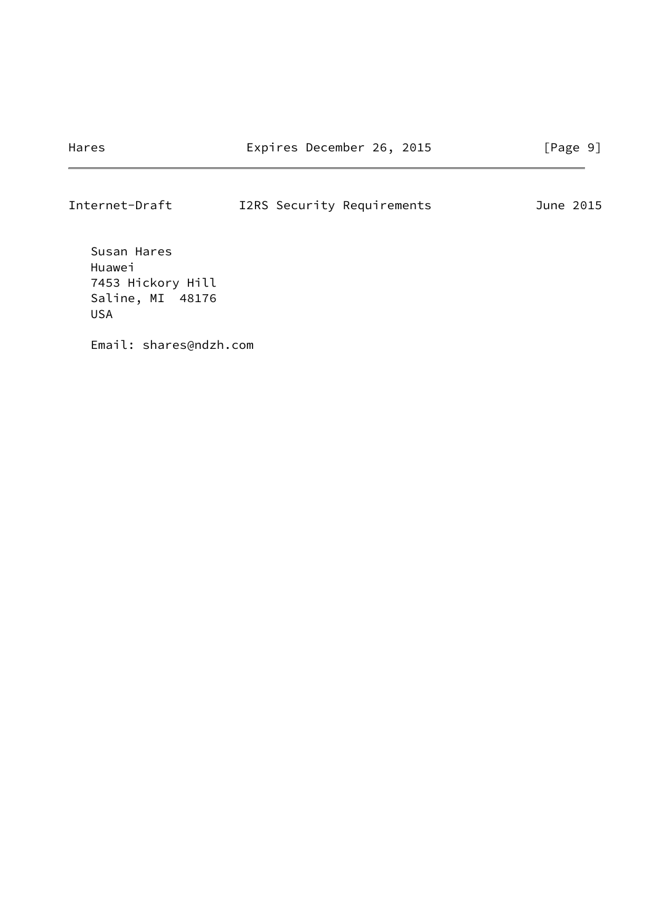Internet-Draft I2RS Security Requirements June 2015

 Susan Hares Huawei 7453 Hickory Hill Saline, MI 48176 USA

Email: shares@ndzh.com